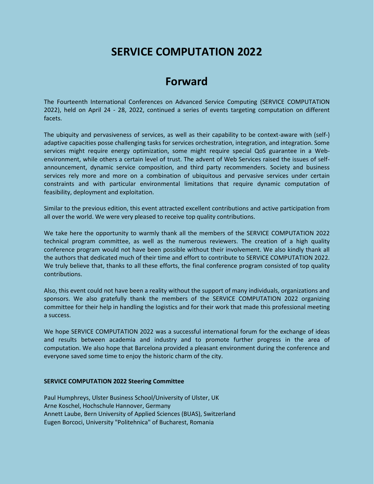## **SERVICE COMPUTATION 2022**

## **Forward**

The Fourteenth International Conferences on Advanced Service Computing (SERVICE COMPUTATION 2022), held on April 24 - 28, 2022, continued a series of events targeting computation on different facets.

The ubiquity and pervasiveness of services, as well as their capability to be context-aware with (self-) adaptive capacities posse challenging tasks for services orchestration, integration, and integration. Some services might require energy optimization, some might require special QoS guarantee in a Webenvironment, while others a certain level of trust. The advent of Web Services raised the issues of selfannouncement, dynamic service composition, and third party recommenders. Society and business services rely more and more on a combination of ubiquitous and pervasive services under certain constraints and with particular environmental limitations that require dynamic computation of feasibility, deployment and exploitation.

Similar to the previous edition, this event attracted excellent contributions and active participation from all over the world. We were very pleased to receive top quality contributions.

We take here the opportunity to warmly thank all the members of the SERVICE COMPUTATION 2022 technical program committee, as well as the numerous reviewers. The creation of a high quality conference program would not have been possible without their involvement. We also kindly thank all the authors that dedicated much of their time and effort to contribute to SERVICE COMPUTATION 2022. We truly believe that, thanks to all these efforts, the final conference program consisted of top quality contributions.

Also, this event could not have been a reality without the support of many individuals, organizations and sponsors. We also gratefully thank the members of the SERVICE COMPUTATION 2022 organizing committee for their help in handling the logistics and for their work that made this professional meeting a success.

We hope SERVICE COMPUTATION 2022 was a successful international forum for the exchange of ideas and results between academia and industry and to promote further progress in the area of computation. We also hope that Barcelona provided a pleasant environment during the conference and everyone saved some time to enjoy the historic charm of the city.

## **SERVICE COMPUTATION 2022 Steering Committee**

Paul Humphreys, Ulster Business School/University of Ulster, UK Arne Koschel, Hochschule Hannover, Germany Annett Laube, Bern University of Applied Sciences (BUAS), Switzerland Eugen Borcoci, University "Politehnica" of Bucharest, Romania